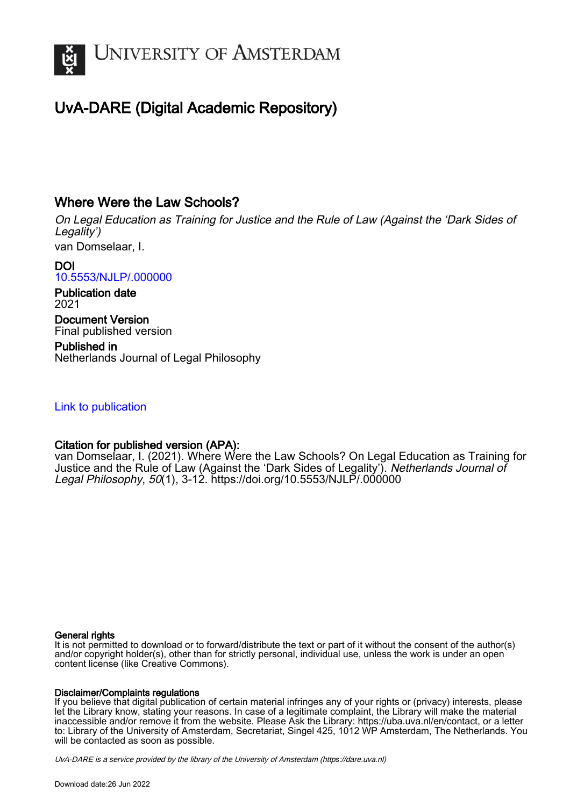

# UvA-DARE (Digital Academic Repository)

### Where Were the Law Schools?

On Legal Education as Training for Justice and the Rule of Law (Against the 'Dark Sides of Legality')

van Domselaar, I.

DOI [10.5553/NJLP/.000000](https://doi.org/10.5553/NJLP/.000000)

Publication date 2021

Document Version Final published version

Published in Netherlands Journal of Legal Philosophy

### [Link to publication](https://dare.uva.nl/personal/pure/en/publications/where-were-the-law-schools(afaf9d9a-0875-45b0-ac2a-11febd98d1ef).html)

### Citation for published version (APA):

van Domselaar, I. (2021). Where Were the Law Schools? On Legal Education as Training for Justice and the Rule of Law (Against the 'Dark Sides of Legality'). Netherlands Journal of Legal Philosophy, 50(1), 3-12.<https://doi.org/10.5553/NJLP/.000000>

#### General rights

It is not permitted to download or to forward/distribute the text or part of it without the consent of the author(s) and/or copyright holder(s), other than for strictly personal, individual use, unless the work is under an open content license (like Creative Commons).

#### Disclaimer/Complaints regulations

If you believe that digital publication of certain material infringes any of your rights or (privacy) interests, please let the Library know, stating your reasons. In case of a legitimate complaint, the Library will make the material inaccessible and/or remove it from the website. Please Ask the Library: https://uba.uva.nl/en/contact, or a letter to: Library of the University of Amsterdam, Secretariat, Singel 425, 1012 WP Amsterdam, The Netherlands. You will be contacted as soon as possible.

UvA-DARE is a service provided by the library of the University of Amsterdam (http*s*://dare.uva.nl)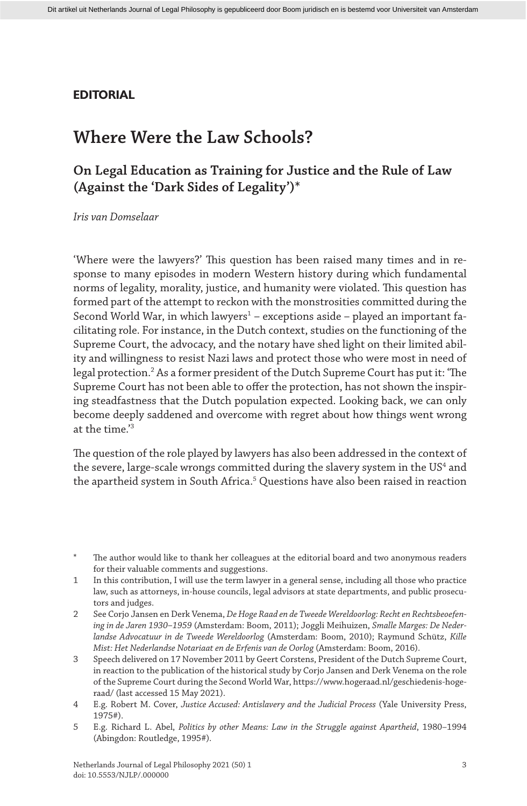### **EDITORIAL**

## **Where Were the Law Schools?**

### **On Legal Education as Training for Justice and the Rule of Law (Against the 'Dark Sides of Legality')\***

*Iris van Domselaar*

'Where were the lawyers?' This question has been raised many times and in response to many episodes in modern Western history during which fundamental norms of legality, morality, justice, and humanity were violated. This question has formed part of the attempt to reckon with the monstrosities committed during the Second World War, in which lawyers $^1$  – exceptions aside – played an important facilitating role. For instance, in the Dutch context, studies on the functioning of the Supreme Court, the advocacy, and the notary have shed light on their limited ability and willingness to resist Nazi laws and protect those who were most in need of legal protection.2 As a former president of the Dutch Supreme Court has put it: 'The Supreme Court has not been able to offer the protection, has not shown the inspiring steadfastness that the Dutch population expected. Looking back, we can only become deeply saddened and overcome with regret about how things went wrong at the time.'3

The question of the role played by lawyers has also been addressed in the context of the severe, large-scale wrongs committed during the slavery system in the US<sup>4</sup> and the apartheid system in South Africa.5 Questions have also been raised in reaction

The author would like to thank her colleagues at the editorial board and two anonymous readers for their valuable comments and suggestions.

<sup>1</sup> In this contribution, I will use the term lawyer in a general sense, including all those who practice law, such as attorneys, in-house councils, legal advisors at state departments, and public prosecutors and judges.

<sup>2</sup> See Corjo Jansen en Derk Venema, *De Hoge Raad en de Tweede Wereldoorlog: Recht en Rechtsbeoefening in de Jaren 1930–1959* (Amsterdam: Boom, 2011); Joggli Meihuizen, *Smalle Marges: De Nederlandse Advocatuur in de Tweede Wereldoorlog* (Amsterdam: Boom, 2010); Raymund Schütz, *Kille Mist: Het Nederlandse Notariaat en de Erfenis van de Oorlog* (Amsterdam: Boom, 2016).

<sup>3</sup> Speech delivered on 17 November 2011 by Geert Corstens, President of the Dutch Supreme Court, in reaction to the publication of the historical study by Corjo Jansen and Derk Venema on the role of the Supreme Court during the Second World War, https://www.hogeraad.nl/geschiedenis-hogeraad/ (last accessed 15 May 2021).

<sup>4</sup> E.g. Robert M. Cover, *Justice Accused: Antislavery and the Judicial Process* (Yale University Press, 1975#).

<sup>5</sup> E.g. Richard L. Abel, *Politics by other Means: Law in the Struggle against Apartheid*, 1980–1994 (Abingdon: Routledge, 1995#).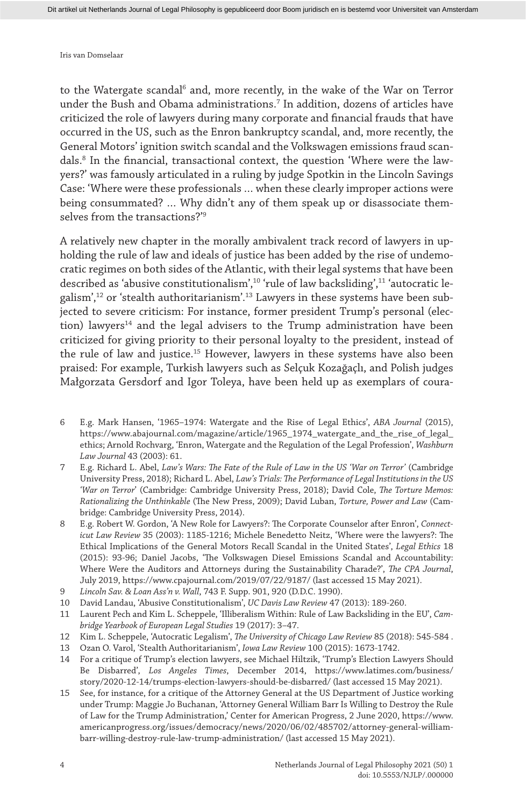to the Watergate scandal<sup>6</sup> and, more recently, in the wake of the War on Terror under the Bush and Obama administrations.7 In addition, dozens of articles have criticized the role of lawyers during many corporate and financial frauds that have occurred in the US, such as the Enron bankruptcy scandal, and, more recently, the General Motors' ignition switch scandal and the Volkswagen emissions fraud scandals.8 In the financial, transactional context, the question 'Where were the lawyers?' was famously articulated in a ruling by judge Spotkin in the Lincoln Savings Case: 'Where were these professionals … when these clearly improper actions were being consummated? … Why didn't any of them speak up or disassociate themselves from the transactions?'9

A relatively new chapter in the morally ambivalent track record of lawyers in upholding the rule of law and ideals of justice has been added by the rise of undemocratic regimes on both sides of the Atlantic, with their legal systems that have been described as 'abusive constitutionalism',10 'rule of law backsliding',11 'autocratic legalism',12 or 'stealth authoritarianism'.13 Lawyers in these systems have been subjected to severe criticism: For instance, former president Trump's personal (election) lawyers<sup>14</sup> and the legal advisers to the Trump administration have been criticized for giving priority to their personal loyalty to the president, instead of the rule of law and justice.<sup>15</sup> However, lawyers in these systems have also been praised: For example, Turkish lawyers such as Selçuk Kozağaçlı, and Polish judges Małgorzata Gersdorf and Igor Toleya, have been held up as exemplars of coura-

- 6 E.g. Mark Hansen, '1965–1974: Watergate and the Rise of Legal Ethics', *ABA Journal* (2015), https://www.abajournal.com/magazine/article/1965\_1974\_watergate\_and\_the\_rise\_of\_legal\_ ethics; Arnold Rochvarg, 'Enron, Watergate and the Regulation of the Legal Profession', *Washburn Law Journal* 43 (2003): 61.
- 7 E.g. Richard L. Abel, *Law's Wars: The Fate of the Rule of Law in the US 'War on Terror'* (Cambridge University Press, 2018); Richard L. Abel, *Law's Trials: The Performance of Legal Institutions in the US 'War on Terror*' (Cambridge: Cambridge University Press, 2018); David Cole, *The Torture Memos: Rationalizing the Unthinkable* (The New Press, 2009); David Luban, *Torture, Power and Law* (Cambridge: Cambridge University Press, 2014).
- 8 E.g. Robert W. Gordon, 'A New Role for Lawyers?: The Corporate Counselor after Enron', *Connecticut Law Review* 35 (2003): 1185-1216; Michele Benedetto Neitz, 'Where were the lawyers?: The Ethical Implications of the General Motors Recall Scandal in the United States', *Legal Ethics* 18 (2015): 93-96; Daniel Jacobs, 'The Volkswagen Diesel Emissions Scandal and Accountability: Where Were the Auditors and Attorneys during the Sustainability Charade?', *The CPA Journal*, July 2019, https://www.cpajournal.com/2019/07/22/9187/ (last accessed 15 May 2021).
- 9 *Lincoln Sav. & Loan Ass'n v. Wall*, 743 F. Supp. 901, 920 (D.D.C. 1990).
- 10 David Landau, 'Abusive Constitutionalism', *UC Davis Law Review* 47 (2013): 189-260.
- 11 Laurent Pech and Kim L. Scheppele, 'Illiberalism Within: Rule of Law Backsliding in the EU', *Cambridge Yearbook of European Legal Studies* 19 (2017): 3–47.
- 12 Kim L. Scheppele, 'Autocratic Legalism', *The University of Chicago Law Review* 85 (2018): 545-584 .
- 13 Ozan O. Varol, 'Stealth Authoritarianism', *Iowa Law Review* 100 (2015): 1673-1742.
- 14 For a critique of Trump's election lawyers, see Michael Hiltzik, 'Trump's Election Lawyers Should Be Disbarred', *Los Angeles Times*, December 2014, https://www.latimes.com/business/ story/2020-12-14/trumps-election-lawyers-should-be-disbarred/ (last accessed 15 May 2021).
- 15 See, for instance, for a critique of the Attorney General at the US Department of Justice working under Trump: Maggie Jo Buchanan, 'Attorney General William Barr Is Willing to Destroy the Rule of Law for the Trump Administration,' Center for American Progress, 2 June 2020, https://www. americanprogress.org/issues/democracy/news/2020/06/02/485702/attorney-general-williambarr-willing-destroy-rule-law-trump-administration/ (last accessed 15 May 2021).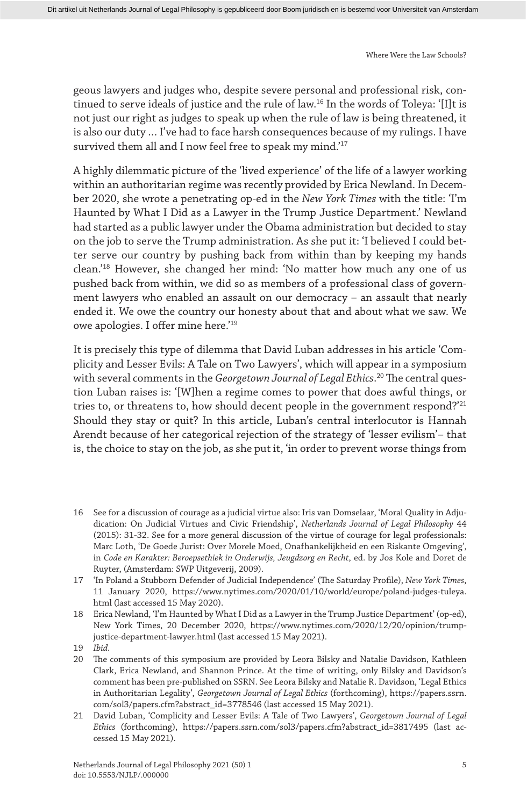geous lawyers and judges who, despite severe personal and professional risk, continued to serve ideals of justice and the rule of law.16 In the words of Toleya: '[I]t is not just our right as judges to speak up when the rule of law is being threatened, it is also our duty … I've had to face harsh consequences because of my rulings. I have survived them all and I now feel free to speak my mind.'<sup>17</sup>

A highly dilemmatic picture of the 'lived experience' of the life of a lawyer working within an authoritarian regime was recently provided by Erica Newland. In December 2020, she wrote a penetrating op-ed in the *New York Times* with the title: 'I'm Haunted by What I Did as a Lawyer in the Trump Justice Department.' Newland had started as a public lawyer under the Obama administration but decided to stay on the job to serve the Trump administration. As she put it: 'I believed I could better serve our country by pushing back from within than by keeping my hands clean.'18 However, she changed her mind: 'No matter how much any one of us pushed back from within, we did so as members of a professional class of government lawyers who enabled an assault on our democracy – an assault that nearly ended it. We owe the country our honesty about that and about what we saw. We owe apologies. I offer mine here.'19

It is precisely this type of dilemma that David Luban addresses in his article 'Complicity and Lesser Evils: A Tale on Two Lawyers', which will appear in a symposium with several comments in the *Georgetown Journal of Legal Ethics*. 20 The central question Luban raises is: '[W]hen a regime comes to power that does awful things, or tries to, or threatens to, how should decent people in the government respond?'<sup>21</sup> Should they stay or quit? In this article, Luban's central interlocutor is Hannah Arendt because of her categorical rejection of the strategy of 'lesser evilism'– that is, the choice to stay on the job, as she put it, 'in order to prevent worse things from

- 16 See for a discussion of courage as a judicial virtue also: Iris van Domselaar, 'Moral Quality in Adjudication: On Judicial Virtues and Civic Friendship', *Netherlands Journal of Legal Philosophy* 44 (2015): 31-32. See for a more general discussion of the virtue of courage for legal professionals: Marc Loth, 'De Goede Jurist: Over Morele Moed, Onafhankelijkheid en een Riskante Omgeving', in *Code en Karakter: Beroepsethiek in Onderwijs, Jeugdzorg en Recht*, ed. by Jos Kole and Doret de Ruyter, (Amsterdam: SWP Uitgeverij, 2009).
- 17 'In Poland a Stubborn Defender of Judicial Independence' (The Saturday Profile), *New York Times*, 11 January 2020, https://www.nytimes.com/2020/01/10/world/europe/poland-judges-tuleya. html (last accessed 15 May 2020).
- 18 Erica Newland, 'I'm Haunted by What I Did as a Lawyer in the Trump Justice Department' (op-ed), New York Times, 20 December 2020, https://www.nytimes.com/2020/12/20/opinion/trumpjustice-department-lawyer.html (last accessed 15 May 2021).
- 19 *Ibid*.
- 20 The comments of this symposium are provided by Leora Bilsky and Natalie Davidson, Kathleen Clark, Erica Newland, and Shannon Prince. At the time of writing, only Bilsky and Davidson's comment has been pre-published on SSRN. See Leora Bilsky and Natalie R. Davidson, 'Legal Ethics in Authoritarian Legality', *Georgetown Journal of Legal Ethics* (forthcoming), https://papers.ssrn. com/sol3/papers.cfm?abstract\_id=3778546 (last accessed 15 May 2021).
- 21 David Luban, 'Complicity and Lesser Evils: A Tale of Two Lawyers', *Georgetown Journal of Legal Ethics* (forthcoming), https://papers.ssrn.com/sol3/papers.cfm?abstract\_id=3817495 (last accessed 15 May 2021).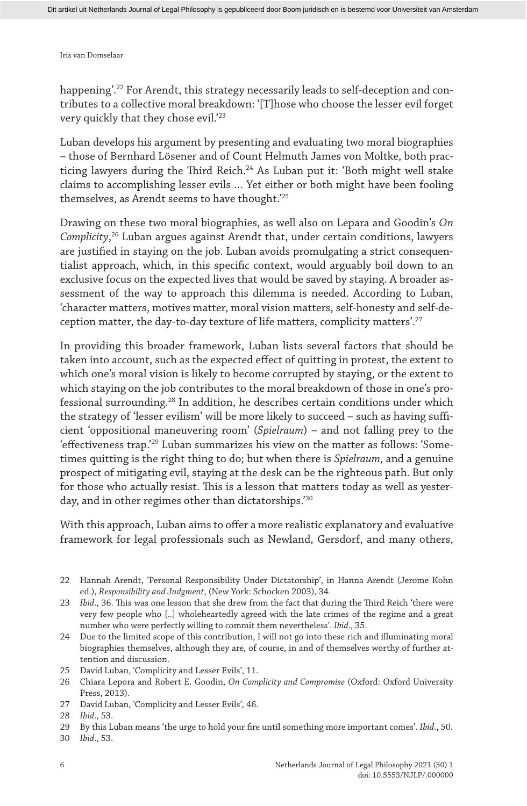happening'.<sup>22</sup> For Arendt, this strategy necessarily leads to self-deception and contributes to a collective moral breakdown: '[T]hose who choose the lesser evil forget very quickly that they chose evil.'23

Luban develops his argument by presenting and evaluating two moral biographies – those of Bernhard Lösener and of Count Helmuth James von Moltke, both practicing lawyers during the Third Reich.<sup>24</sup> As Luban put it: 'Both might well stake claims to accomplishing lesser evils … Yet either or both might have been fooling themselves, as Arendt seems to have thought.'25

Drawing on these two moral biographies, as well also on Lepara and Goodin's *On Complicity*, 26 Luban argues against Arendt that, under certain conditions, lawyers are justified in staying on the job. Luban avoids promulgating a strict consequentialist approach, which, in this specific context, would arguably boil down to an exclusive focus on the expected lives that would be saved by staying. A broader assessment of the way to approach this dilemma is needed. According to Luban, 'character matters, motives matter, moral vision matters, self-honesty and self-deception matter, the day-to-day texture of life matters, complicity matters'.<sup>27</sup>

In providing this broader framework, Luban lists several factors that should be taken into account, such as the expected effect of quitting in protest, the extent to which one's moral vision is likely to become corrupted by staying, or the extent to which staying on the job contributes to the moral breakdown of those in one's professional surrounding.28 In addition, he describes certain conditions under which the strategy of 'lesser evilism' will be more likely to succeed – such as having sufficient 'oppositional maneuvering room' (*Spielraum*) – and not falling prey to the 'effectiveness trap.'29 Luban summarizes his view on the matter as follows: 'Sometimes quitting is the right thing to do; but when there is *Spielraum*, and a genuine prospect of mitigating evil, staying at the desk can be the righteous path. But only for those who actually resist. This is a lesson that matters today as well as yesterday, and in other regimes other than dictatorships.'30

With this approach, Luban aims to offer a more realistic explanatory and evaluative framework for legal professionals such as Newland, Gersdorf, and many others,

<sup>22</sup> Hannah Arendt, 'Personal Responsibility Under Dictatorship', in Hanna Arendt (Jerome Kohn ed.), *Responsibility and Judgment*, (New York: Schocken 2003), 34.

<sup>23</sup> *Ibid*., 36. This was one lesson that she drew from the fact that during the Third Reich 'there were very few people who [..] wholeheartedly agreed with the late crimes of the regime and a great number who were perfectly willing to commit them nevertheless'. *Ibid*., 35.

<sup>24</sup> Due to the limited scope of this contribution, I will not go into these rich and illuminating moral biographies themselves, although they are, of course, in and of themselves worthy of further attention and discussion.

<sup>25</sup> David Luban, 'Complicity and Lesser Evils', 11.

<sup>26</sup> Chiara Lepora and Robert E. Goodin, *On Complicity and Compromise* (Oxford: Oxford University Press, 2013).

<sup>27</sup> David Luban, 'Complicity and Lesser Evils', 46.

<sup>28</sup> *Ibid*., 53.

<sup>29</sup> By this Luban means 'the urge to hold your fire until something more important comes'. *Ibid*., 50.

<sup>30</sup> *Ibid*., 53.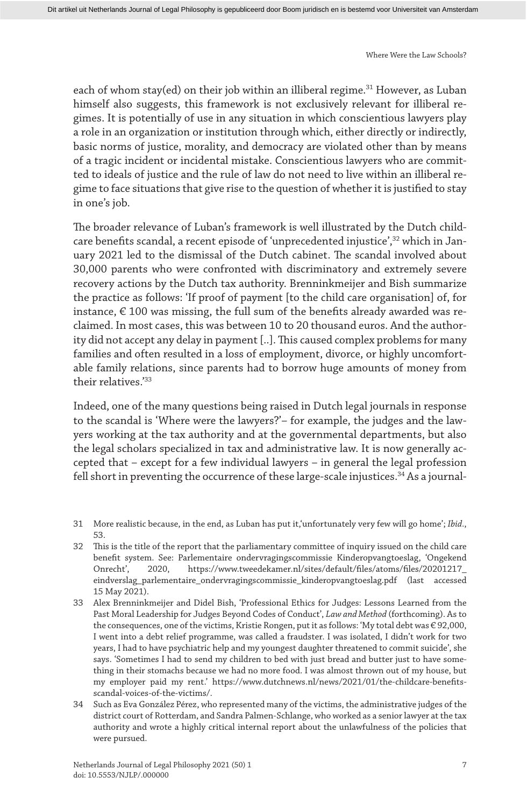each of whom stay(ed) on their job within an illiberal regime.<sup>31</sup> However, as Luban himself also suggests, this framework is not exclusively relevant for illiberal regimes. It is potentially of use in any situation in which conscientious lawyers play a role in an organization or institution through which, either directly or indirectly, basic norms of justice, morality, and democracy are violated other than by means of a tragic incident or incidental mistake. Conscientious lawyers who are committed to ideals of justice and the rule of law do not need to live within an illiberal regime to face situations that give rise to the question of whether it is justified to stay in one's job.

The broader relevance of Luban's framework is well illustrated by the Dutch childcare benefits scandal, a recent episode of 'unprecedented injustice',32 which in January 2021 led to the dismissal of the Dutch cabinet. The scandal involved about 30,000 parents who were confronted with discriminatory and extremely severe recovery actions by the Dutch tax authority. Brenninkmeijer and Bish summarize the practice as follows: 'If proof of payment [to the child care organisation] of, for instance,  $\epsilon$  100 was missing, the full sum of the benefits already awarded was reclaimed. In most cases, this was between 10 to 20 thousand euros. And the authority did not accept any delay in payment [..]. This caused complex problems for many families and often resulted in a loss of employment, divorce, or highly uncomfortable family relations, since parents had to borrow huge amounts of money from their relatives<sup>'33</sup>

Indeed, one of the many questions being raised in Dutch legal journals in response to the scandal is 'Where were the lawyers?'– for example, the judges and the lawyers working at the tax authority and at the governmental departments, but also the legal scholars specialized in tax and administrative law. It is now generally accepted that – except for a few individual lawyers – in general the legal profession fell short in preventing the occurrence of these large-scale injustices.<sup>34</sup> As a journal-

- 31 More realistic because, in the end, as Luban has put it,'unfortunately very few will go home'; *Ibid*., 53.
- 32 This is the title of the report that the parliamentary committee of inquiry issued on the child care benefit system. See: Parlementaire ondervragingscommissie Kinderopvangtoeslag, 'Ongekend Onrecht', 2020, https://www.tweedekamer.nl/sites/default/files/atoms/files/20201217\_ eindverslag\_parlementaire\_ondervragingscommissie\_kinderopvangtoeslag.pdf (last accessed 15 May 2021).
- 33 Alex Brenninkmeijer and Didel Bish, 'Professional Ethics for Judges: Lessons Learned from the Past Moral Leadership for Judges Beyond Codes of Conduct', *Law and Method* (forthcoming). As to the consequences, one of the victims, Kristie Rongen, put it as follows: 'My total debt was € 92,000, I went into a debt relief programme, was called a fraudster. I was isolated, I didn't work for two years, I had to have psychiatric help and my youngest daughter threatened to commit suicide', she says. 'Sometimes I had to send my children to bed with just bread and butter just to have something in their stomachs because we had no more food. I was almost thrown out of my house, but my employer paid my rent.' https://www.dutchnews.nl/news/2021/01/the-childcare-benefitsscandal-voices-of-the-victims/.
- 34 Such as Eva González Pérez, who represented many of the victims, the administrative judges of the district court of Rotterdam, and Sandra Palmen-Schlange, who worked as a senior lawyer at the tax authority and wrote a highly critical internal report about the unlawfulness of the policies that were pursued.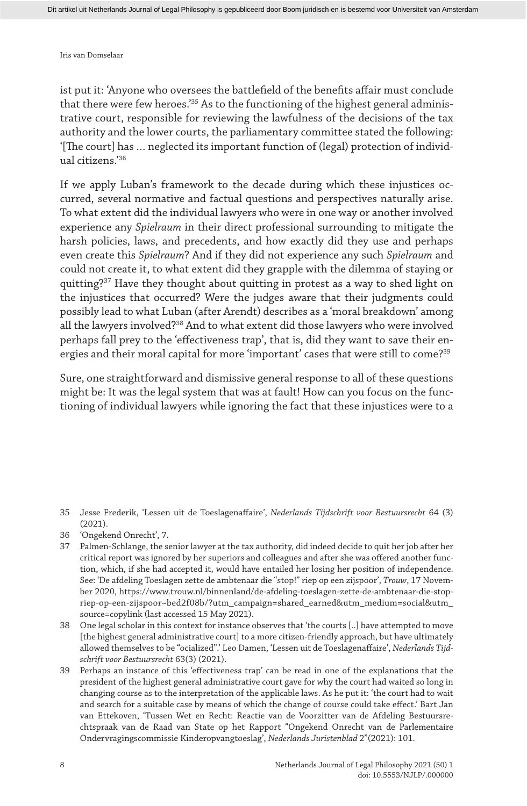ist put it: 'Anyone who oversees the battlefield of the benefits affair must conclude that there were few heroes.'35 As to the functioning of the highest general administrative court, responsible for reviewing the lawfulness of the decisions of the tax authority and the lower courts, the parliamentary committee stated the following: '[The court] has … neglected its important function of (legal) protection of individual citizens.'36

If we apply Luban's framework to the decade during which these injustices occurred, several normative and factual questions and perspectives naturally arise. To what extent did the individual lawyers who were in one way or another involved experience any *Spielraum* in their direct professional surrounding to mitigate the harsh policies, laws, and precedents, and how exactly did they use and perhaps even create this *Spielraum*? And if they did not experience any such *Spielraum* and could not create it, to what extent did they grapple with the dilemma of staying or quitting?<sup>37</sup> Have they thought about quitting in protest as a way to shed light on the injustices that occurred? Were the judges aware that their judgments could possibly lead to what Luban (after Arendt) describes as a 'moral breakdown' among all the lawyers involved?38 And to what extent did those lawyers who were involved perhaps fall prey to the 'effectiveness trap', that is, did they want to save their energies and their moral capital for more 'important' cases that were still to come?<sup>39</sup>

Sure, one straightforward and dismissive general response to all of these questions might be: It was the legal system that was at fault! How can you focus on the functioning of individual lawyers while ignoring the fact that these injustices were to a

<sup>35</sup> Jesse Frederik, 'Lessen uit de Toeslagenaffaire', *Nederlands Tijdschrift voor Bestuursrecht* 64 (3) (2021).

<sup>36</sup> 'Ongekend Onrecht', 7.

<sup>37</sup> Palmen-Schlange, the senior lawyer at the tax authority, did indeed decide to quit her job after her critical report was ignored by her superiors and colleagues and after she was offered another function, which, if she had accepted it, would have entailed her losing her position of independence. See: 'De afdeling Toeslagen zette de ambtenaar die "stop!" riep op een zijspoor', *Trouw*, 17 November 2020, https://www.trouw.nl/binnenland/de-afdeling-toeslagen-zette-de-ambtenaar-die-stopriep-op-een-zijspoor~bed2f08b/?utm\_campaign=shared\_earned&utm\_medium=social&utm\_ source=copylink (last accessed 15 May 2021).

<sup>38</sup> One legal scholar in this context for instance observes that 'the courts [..] have attempted to move [the highest general administrative court] to a more citizen-friendly approach, but have ultimately allowed themselves to be "ocialized".' Leo Damen, 'Lessen uit de Toeslagenaffaire', *Nederlands Tijdschrift voor Bestuursrecht* 63(3) (2021).

<sup>39</sup> Perhaps an instance of this 'effectiveness trap' can be read in one of the explanations that the president of the highest general administrative court gave for why the court had waited so long in changing course as to the interpretation of the applicable laws. As he put it: 'the court had to wait and search for a suitable case by means of which the change of course could take effect.' Bart Jan van Ettekoven, 'Tussen Wet en Recht: Reactie van de Voorzitter van de Afdeling Bestuursrechtspraak van de Raad van State op het Rapport "Ongekend Onrecht van de Parlementaire Ondervragingscommissie Kinderopvangtoeslag', *Nederlands Juristenblad* 2"(2021): 101.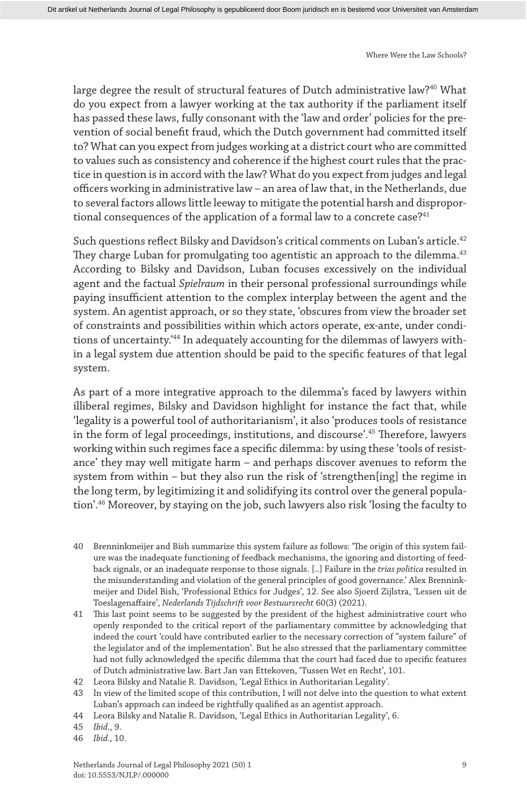large degree the result of structural features of Dutch administrative law?40 What do you expect from a lawyer working at the tax authority if the parliament itself has passed these laws, fully consonant with the 'law and order' policies for the prevention of social benefit fraud, which the Dutch government had committed itself to? What can you expect from judges working at a district court who are committed to values such as consistency and coherence if the highest court rules that the practice in question is in accord with the law? What do you expect from judges and legal officers working in administrative law – an area of law that, in the Netherlands, due to several factors allows little leeway to mitigate the potential harsh and disproportional consequences of the application of a formal law to a concrete case? $41$ 

Such questions reflect Bilsky and Davidson's critical comments on Luban's article.<sup>42</sup> They charge Luban for promulgating too agentistic an approach to the dilemma.<sup>43</sup> According to Bilsky and Davidson, Luban focuses excessively on the individual agent and the factual *Spielraum* in their personal professional surroundings while paying insufficient attention to the complex interplay between the agent and the system. An agentist approach, or so they state, 'obscures from view the broader set of constraints and possibilities within which actors operate, ex-ante, under conditions of uncertainty.'44 In adequately accounting for the dilemmas of lawyers within a legal system due attention should be paid to the specific features of that legal system.

As part of a more integrative approach to the dilemma's faced by lawyers within illiberal regimes, Bilsky and Davidson highlight for instance the fact that, while 'legality is a powerful tool of authoritarianism', it also 'produces tools of resistance in the form of legal proceedings, institutions, and discourse'.45 Therefore, lawyers working within such regimes face a specific dilemma: by using these 'tools of resistance' they may well mitigate harm – and perhaps discover avenues to reform the system from within – but they also run the risk of 'strengthen[ing] the regime in the long term, by legitimizing it and solidifying its control over the general population'.46 Moreover, by staying on the job, such lawyers also risk 'losing the faculty to

- 40 Brenninkmeijer and Bish summarize this system failure as follows: 'The origin of this system failure was the inadequate functioning of feedback mechanisms, the ignoring and distorting of feedback signals, or an inadequate response to those signals. [..] Failure in the *trias politica* resulted in the misunderstanding and violation of the general principles of good governance.' Alex Brenninkmeijer and Didel Bish, 'Professional Ethics for Judges', 12. See also Sjoerd Zijlstra, 'Lessen uit de Toeslagenaffaire', *Nederlands Tijdschrift voor Bestuursrecht* 60(3) (2021).
- 41 This last point seems to be suggested by the president of the highest administrative court who openly responded to the critical report of the parliamentary committee by acknowledging that indeed the court 'could have contributed earlier to the necessary correction of "system failure" of the legislator and of the implementation'. But he also stressed that the parliamentary committee had not fully acknowledged the specific dilemma that the court had faced due to specific features of Dutch administrative law. Bart Jan van Ettekoven, 'Tussen Wet en Recht', 101.
- 42 Leora Bilsky and Natalie R. Davidson, 'Legal Ethics in Authoritarian Legality'.
- 43 In view of the limited scope of this contribution, I will not delve into the question to what extent Luban's approach can indeed be rightfully qualified as an agentist approach.
- 44 Leora Bilsky and Natalie R. Davidson, 'Legal Ethics in Authoritarian Legality', 6.
- 45 *Ibid*., 9.
- 46 *Ibid.*, 10.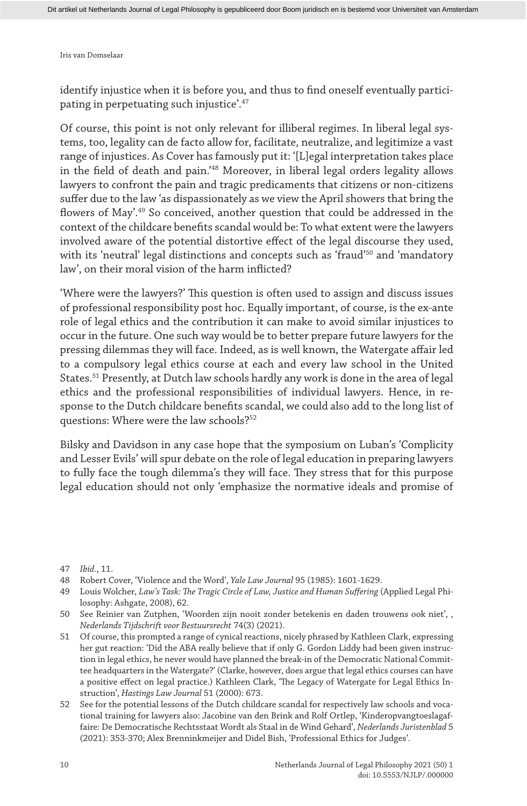identify injustice when it is before you, and thus to find oneself eventually participating in perpetuating such injustice'.47

Of course, this point is not only relevant for illiberal regimes. In liberal legal systems, too, legality can de facto allow for, facilitate, neutralize, and legitimize a vast range of injustices. As Cover has famously put it: '[L]egal interpretation takes place in the field of death and pain.'48 Moreover, in liberal legal orders legality allows lawyers to confront the pain and tragic predicaments that citizens or non-citizens suffer due to the law 'as dispassionately as we view the April showers that bring the flowers of May'.49 So conceived, another question that could be addressed in the context of the childcare benefits scandal would be: To what extent were the lawyers involved aware of the potential distortive effect of the legal discourse they used, with its 'neutral' legal distinctions and concepts such as 'fraud'<sup>50</sup> and 'mandatory law', on their moral vision of the harm inflicted?

'Where were the lawyers?' This question is often used to assign and discuss issues of professional responsibility post hoc. Equally important, of course, is the ex-ante role of legal ethics and the contribution it can make to avoid similar injustices to occur in the future. One such way would be to better prepare future lawyers for the pressing dilemmas they will face. Indeed, as is well known, the Watergate affair led to a compulsory legal ethics course at each and every law school in the United States.51 Presently, at Dutch law schools hardly any work is done in the area of legal ethics and the professional responsibilities of individual lawyers. Hence, in response to the Dutch childcare benefits scandal, we could also add to the long list of questions: Where were the law schools?<sup>52</sup>

Bilsky and Davidson in any case hope that the symposium on Luban's 'Complicity and Lesser Evils' will spur debate on the role of legal education in preparing lawyers to fully face the tough dilemma's they will face. They stress that for this purpose legal education should not only 'emphasize the normative ideals and promise of

<sup>47</sup> *Ibid*., 11.

<sup>48</sup> Robert Cover, 'Violence and the Word', *Yale Law Journal* 95 (1985): 1601-1629.

<sup>49</sup> Louis Wolcher, *Law's Task: The Tragic Circle of Law, Justice and Human Suffering* (Applied Legal Philosophy: Ashgate, 2008), 62.

<sup>50</sup> See Reinier van Zutphen, 'Woorden zijn nooit zonder betekenis en daden trouwens ook niet', , *Nederlands Tijdschrift voor Bestuursrecht* 74(3) (2021).

<sup>51</sup> Of course, this prompted a range of cynical reactions, nicely phrased by Kathleen Clark, expressing her gut reaction: 'Did the ABA really believe that if only G. Gordon Liddy had been given instruction in legal ethics, he never would have planned the break-in of the Democratic National Committee headquarters in the Watergate?' (Clarke, however, does argue that legal ethics courses can have a positive effect on legal practice.) Kathleen Clark, 'The Legacy of Watergate for Legal Ethics Instruction', *Hastings Law Journal* 51 (2000): 673.

<sup>52</sup> See for the potential lessons of the Dutch childcare scandal for respectively law schools and vocational training for lawyers also: Jacobine van den Brink and Rolf Ortlep, 'Kinderopvangtoeslagaffaire: De Democratische Rechtsstaat Wordt als Staal in de Wind Gehard', *Nederlands Juristenblad* 5 (2021): 353-370; Alex Brenninkmeijer and Didel Bish, 'Professional Ethics for Judges'.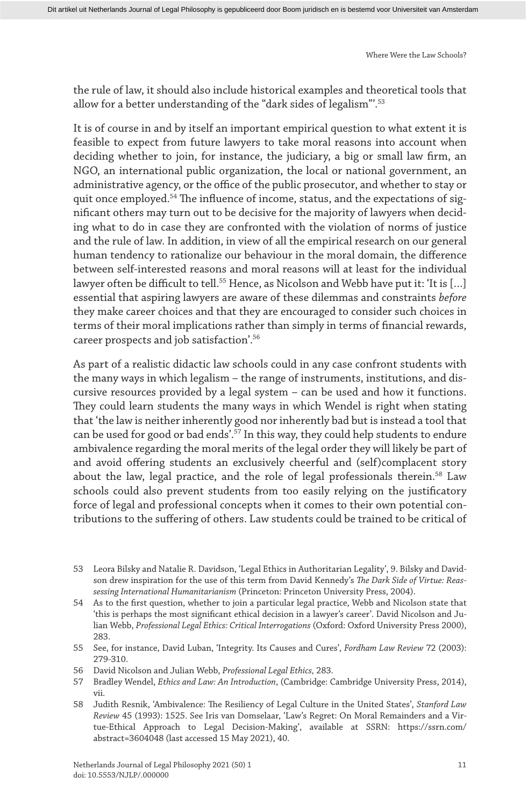the rule of law, it should also include historical examples and theoretical tools that allow for a better understanding of the "dark sides of legalism"'.53

It is of course in and by itself an important empirical question to what extent it is feasible to expect from future lawyers to take moral reasons into account when deciding whether to join, for instance, the judiciary, a big or small law firm, an NGO, an international public organization, the local or national government, an administrative agency, or the office of the public prosecutor, and whether to stay or quit once employed.<sup>54</sup> The influence of income, status, and the expectations of significant others may turn out to be decisive for the majority of lawyers when deciding what to do in case they are confronted with the violation of norms of justice and the rule of law. In addition, in view of all the empirical research on our general human tendency to rationalize our behaviour in the moral domain, the difference between self-interested reasons and moral reasons will at least for the individual lawyer often be difficult to tell.<sup>55</sup> Hence, as Nicolson and Webb have put it: 'It is [...] essential that aspiring lawyers are aware of these dilemmas and constraints *before* they make career choices and that they are encouraged to consider such choices in terms of their moral implications rather than simply in terms of financial rewards, career prospects and job satisfaction'.56

As part of a realistic didactic law schools could in any case confront students with the many ways in which legalism – the range of instruments, institutions, and discursive resources provided by a legal system – can be used and how it functions. They could learn students the many ways in which Wendel is right when stating that 'the law is neither inherently good nor inherently bad but is instead a tool that can be used for good or bad ends'.57 In this way, they could help students to endure ambivalence regarding the moral merits of the legal order they will likely be part of and avoid offering students an exclusively cheerful and (self)complacent story about the law, legal practice, and the role of legal professionals therein.<sup>58</sup> Law schools could also prevent students from too easily relying on the justificatory force of legal and professional concepts when it comes to their own potential contributions to the suffering of others. Law students could be trained to be critical of

<sup>53</sup> Leora Bilsky and Natalie R. Davidson, 'Legal Ethics in Authoritarian Legality', 9. Bilsky and Davidson drew inspiration for the use of this term from David Kennedy's *The Dark Side of Virtue: Reassessing International Humanitarianism* (Princeton: Princeton University Press, 2004).

<sup>54</sup> As to the first question, whether to join a particular legal practice, Webb and Nicolson state that 'this is perhaps the most significant ethical decision in a lawyer's career'. David Nicolson and Julian Webb, *Professional Legal Ethics: Critical Interrogations* (Oxford: Oxford University Press 2000), 283.

<sup>55</sup> See, for instance, David Luban, 'Integrity. Its Causes and Cures', *Fordham Law Review* 72 (2003): 279-310.

<sup>56</sup> David Nicolson and Julian Webb, *Professional Legal Ethics,* 283.

<sup>57</sup> Bradley Wendel, *Ethics and Law: An Introduction*, (Cambridge: Cambridge University Press, 2014), vii.

<sup>58</sup> Judith Resnik, 'Ambivalence: The Resiliency of Legal Culture in the United States', *Stanford Law Review* 45 (1993): 1525. See Iris van Domselaar, 'Law's Regret: On Moral Remainders and a Virtue-Ethical Approach to Legal Decision-Making', available at SSRN: https://ssrn.com/ abstract=3604048 (last accessed 15 May 2021), 40.